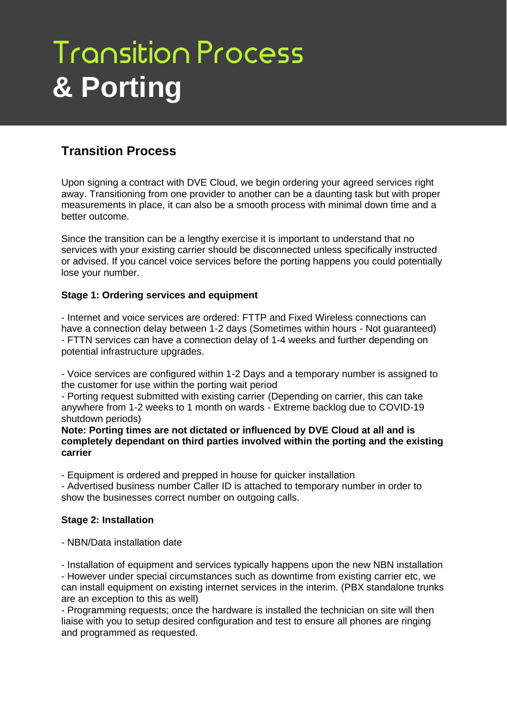# **Transition Process & Porting**

## **Transition Process**

Upon signing a contract with DVE Cloud, we begin ordering your agreed services right away. Transitioning from one provider to another can be a daunting task but with proper measurements in place, it can also be a smooth process with minimal down time and a better outcome.

Since the transition can be a lengthy exercise it is important to understand that no services with your existing carrier should be disconnected unless specifically instructed or advised. If you cancel voice services before the porting happens you could potentially lose your number.

#### **Stage 1: Ordering services and equipment**

- Internet and voice services are ordered: FTTP and Fixed Wireless connections can have a connection delay between 1-2 days (Sometimes within hours - Not guaranteed) - FTTN services can have a connection delay of 1-4 weeks and further depending on potential infrastructure upgrades.

- Voice services are configured within 1-2 Days and a temporary number is assigned to the customer for use within the porting wait period

- Porting request submitted with existing carrier (Depending on carrier, this can take anywhere from 1-2 weeks to 1 month on wards - Extreme backlog due to COVID-19 shutdown periods)

**Note: Porting times are not dictated or influenced by DVE Cloud at all and is completely dependant on third parties involved within the porting and the existing carrier**

- Equipment is ordered and prepped in house for quicker installation

- Advertised business number Caller ID is attached to temporary number in order to show the businesses correct number on outgoing calls.

#### **Stage 2: Installation**

- NBN/Data installation date

- Installation of equipment and services typically happens upon the new NBN installation - However under special circumstances such as downtime from existing carrier etc, we can install equipment on existing internet services in the interim. (PBX standalone trunks are an exception to this as well)

- Programming requests; once the hardware is installed the technician on site will then liaise with you to setup desired configuration and test to ensure all phones are ringing and programmed as requested.